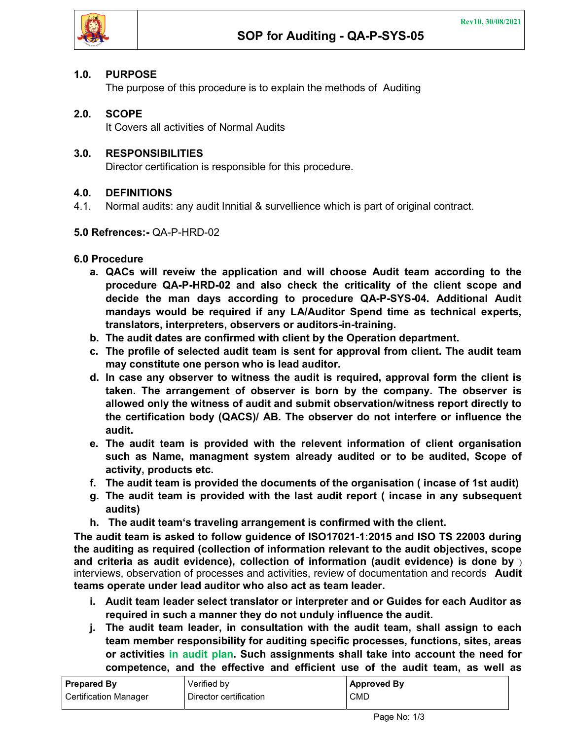### 1.0. PURPOSE

The purpose of this procedure is to explain the methods of Auditing

# 2.0. SCOPE

It Covers all activities of Normal Audits

## 3.0. RESPONSIBILITIES

Director certification is responsible for this procedure.

## 4.0. DEFINITIONS

4.1. Normal audits: any audit Innitial & survellience which is part of original contract.

#### 5.0 Refrences:- QA-P-HRD-02

#### 6.0 Procedure

- a. QACs will reveiw the application and will choose Audit team according to the procedure QA-P-HRD-02 and also check the criticality of the client scope and decide the man days according to procedure QA-P-SYS-04. Additional Audit mandays would be required if any LA/Auditor Spend time as technical experts, translators, interpreters, observers or auditors-in-training.
- b. The audit dates are confirmed with client by the Operation department.
- c. The profile of selected audit team is sent for approval from client. The audit team may constitute one person who is lead auditor.
- d. In case any observer to witness the audit is required, approval form the client is taken. The arrangement of observer is born by the company. The observer is allowed only the witness of audit and submit observation/witness report directly to the certification body (QACS)/ AB. The observer do not interfere or influence the audit.
- e. The audit team is provided with the relevent information of client organisation such as Name, managment system already audited or to be audited, Scope of activity, products etc.
- f. The audit team is provided the documents of the organisation ( incase of 1st audit)
- g. The audit team is provided with the last audit report ( incase in any subsequent audits)
- h. The audit team's traveling arrangement is confirmed with the client.

The audit team is asked to follow guidence of ISO17021-1:2015 and ISO TS 22003 during the auditing as required (collection of information relevant to the audit objectives, scope and criteria as audit evidence), collection of information (audit evidence) is done by  $\overline{y}$ interviews, observation of processes and activities, review of documentation and records Audit teams operate under lead auditor who also act as team leader.

- i. Audit team leader select translator or interpreter and or Guides for each Auditor as required in such a manner they do not unduly influence the audit.
- j. The audit team leader, in consultation with the audit team, shall assign to each team member responsibility for auditing specific processes, functions, sites, areas or activities in audit plan. Such assignments shall take into account the need for competence, and the effective and efficient use of the audit team, as well as

| <b>Prepared By</b>    | Verified by            | <b>Approved By</b> |
|-----------------------|------------------------|--------------------|
| Certification Manager | Director certification | CMD                |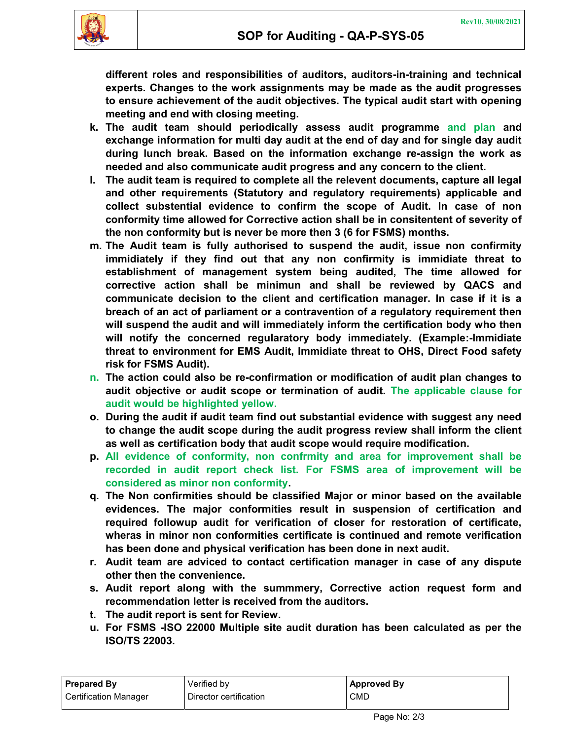

different roles and responsibilities of auditors, auditors-in-training and technical experts. Changes to the work assignments may be made as the audit progresses to ensure achievement of the audit objectives. The typical audit start with opening meeting and end with closing meeting.

- k. The audit team should periodically assess audit programme and plan and exchange information for multi day audit at the end of day and for single day audit during lunch break. Based on the information exchange re-assign the work as needed and also communicate audit progress and any concern to the client.
- l. The audit team is required to complete all the relevent documents, capture all legal and other requirements (Statutory and regulatory requirements) applicable and collect substential evidence to confirm the scope of Audit. In case of non conformity time allowed for Corrective action shall be in consitentent of severity of the non conformity but is never be more then 3 (6 for FSMS) months.
- m. The Audit team is fully authorised to suspend the audit, issue non confirmity immidiately if they find out that any non confirmity is immidiate threat to establishment of management system being audited, The time allowed for corrective action shall be minimun and shall be reviewed by QACS and communicate decision to the client and certification manager. In case if it is a breach of an act of parliament or a contravention of a regulatory requirement then will suspend the audit and will immediately inform the certification body who then will notify the concerned regularatory body immediately. (Example:-Immidiate threat to environment for EMS Audit, Immidiate threat to OHS, Direct Food safety risk for FSMS Audit).
- n. The action could also be re-confirmation or modification of audit plan changes to audit objective or audit scope or termination of audit. The applicable clause for audit would be highlighted yellow.
- o. During the audit if audit team find out substantial evidence with suggest any need to change the audit scope during the audit progress review shall inform the client as well as certification body that audit scope would require modification.
- p. All evidence of conformity, non confrmity and area for improvement shall be recorded in audit report check list. For FSMS area of improvement will be considered as minor non conformity.
- q. The Non confirmities should be classified Major or minor based on the available evidences. The major conformities result in suspension of certification and required followup audit for verification of closer for restoration of certificate, wheras in minor non conformities certificate is continued and remote verification has been done and physical verification has been done in next audit.
- r. Audit team are adviced to contact certification manager in case of any dispute other then the convenience.
- s. Audit report along with the summmery, Corrective action request form and recommendation letter is received from the auditors.
- t. The audit report is sent for Review.
- u. For FSMS -ISO 22000 Multiple site audit duration has been calculated as per the ISO/TS 22003.

| <b>Prepared By</b>           | Verified by            | <b>Approved By</b> |
|------------------------------|------------------------|--------------------|
| <b>Certification Manager</b> | Director certification | CMD                |